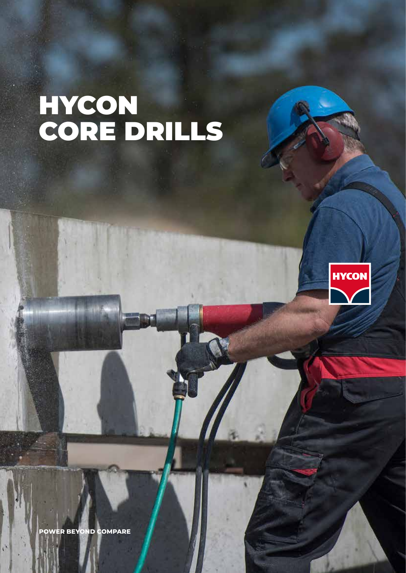# HYCON CORE DRILLS



**POWER BEYOND COMPARE**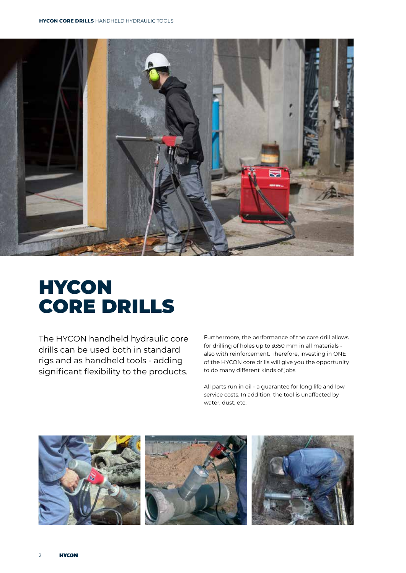

# **HYCON** CORE DRILLS

The HYCON handheld hydraulic core drills can be used both in standard rigs and as handheld tools - adding significant flexibility to the products. Furthermore, the performance of the core drill allows for drilling of holes up to ø350 mm in all materials also with reinforcement. Therefore, investing in ONE of the HYCON core drills will give you the opportunity to do many different kinds of jobs.

All parts run in oil - a guarantee for long life and low service costs. In addition, the tool is unaffected by water, dust, etc.

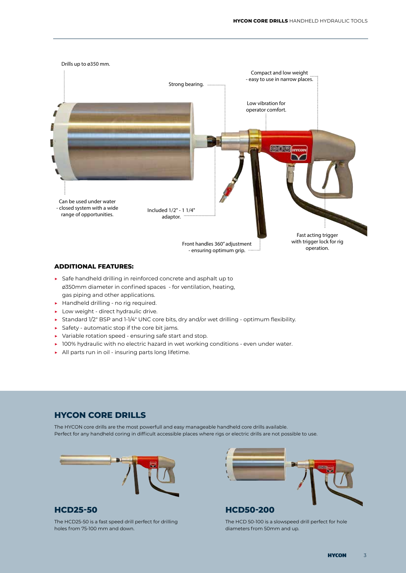

#### **ADDITIONAL FEATURES:**

- ▶ Safe handheld drilling in reinforced concrete and asphalt up to ø350mm diameter in confined spaces - for ventilation, heating, gas piping and other applications.
- ▶ Handheld drilling no rig required.
- $\blacktriangleright$  Low weight direct hydraulic drive.
- ▶ Standard 1/2" BSP and 1-1/4" UNC core bits, dry and/or wet drilling optimum flexibility.
- $\triangleright$  Safety automatic stop if the core bit jams.
- ▶ Variable rotation speed ensuring safe start and stop.
- ▶ 100% hydraulic with no electric hazard in wet working conditions even under water.
- ▶ All parts run in oil insuring parts long lifetime.

### **HYCON CORE DRILLS**

The HYCON core drills are the most powerfull and easy manageable handheld core drills available. Perfect for any handheld coring in difficult accessible places where rigs or electric drills are not possible to use.



#### **HCD25-50**

The HCD25-50 is a fast speed drill perfect for drilling holes from 75-100 mm and down.



### **HCD50-200**

The HCD 50-100 is a slowspeed drill perfect for hole diameters from 50mm and up.